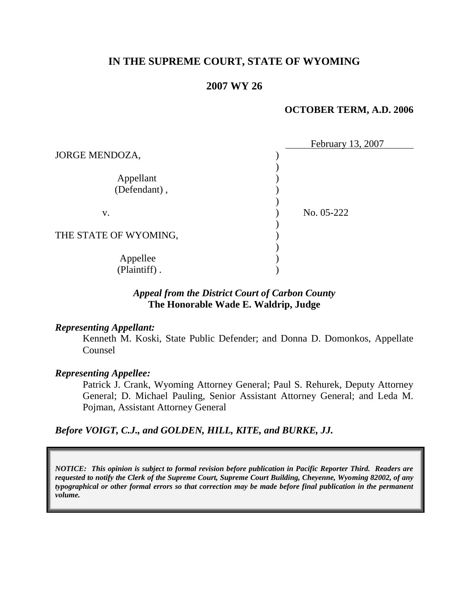# **IN THE SUPREME COURT, STATE OF WYOMING**

# **2007 WY 26**

### **OCTOBER TERM, A.D. 2006**

|                       | February 13, 2007 |
|-----------------------|-------------------|
| JORGE MENDOZA,        |                   |
|                       |                   |
| Appellant             |                   |
| (Defendant),          |                   |
|                       |                   |
| V.                    | No. 05-222        |
|                       |                   |
| THE STATE OF WYOMING, |                   |
|                       |                   |
| Appellee              |                   |
| (Plaintiff).          |                   |

## *Appeal from the District Court of Carbon County* **The Honorable Wade E. Waldrip, Judge**

#### *Representing Appellant:*

Kenneth M. Koski, State Public Defender; and Donna D. Domonkos, Appellate Counsel

#### *Representing Appellee:*

Patrick J. Crank, Wyoming Attorney General; Paul S. Rehurek, Deputy Attorney General; D. Michael Pauling, Senior Assistant Attorney General; and Leda M. Pojman, Assistant Attorney General

*Before VOIGT, C.J., and GOLDEN, HILL, KITE, and BURKE, JJ.*

*NOTICE: This opinion is subject to formal revision before publication in Pacific Reporter Third. Readers are requested to notify the Clerk of the Supreme Court, Supreme Court Building, Cheyenne, Wyoming 82002, of any typographical or other formal errors so that correction may be made before final publication in the permanent volume.*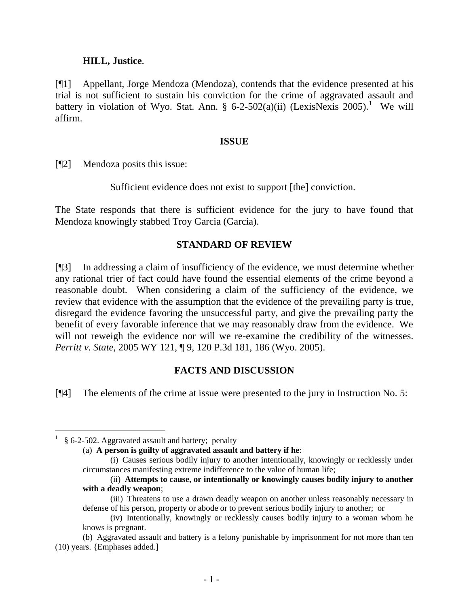### **HILL, Justice**.

[¶1] Appellant, Jorge Mendoza (Mendoza), contends that the evidence presented at his trial is not sufficient to sustain his conviction for the crime of aggravated assault and battery in violation of Wyo. Stat. Ann. § 6-2-502(a)(ii) (LexisNexis 2005).<sup>1</sup> We will affirm.

### **ISSUE**

[¶2] Mendoza posits this issue:

Sufficient evidence does not exist to support [the] conviction.

The State responds that there is sufficient evidence for the jury to have found that Mendoza knowingly stabbed Troy Garcia (Garcia).

## **STANDARD OF REVIEW**

[¶3] In addressing a claim of insufficiency of the evidence, we must determine whether any rational trier of fact could have found the essential elements of the crime beyond a reasonable doubt. When considering a claim of the sufficiency of the evidence, we review that evidence with the assumption that the evidence of the prevailing party is true, disregard the evidence favoring the unsuccessful party, and give the prevailing party the benefit of every favorable inference that we may reasonably draw from the evidence. We will not reweigh the evidence nor will we re-examine the credibility of the witnesses. *Perritt v. State*, 2005 WY 121, ¶ 9, 120 P.3d 181, 186 (Wyo. 2005).

## **FACTS AND DISCUSSION**

[¶4] The elements of the crime at issue were presented to the jury in Instruction No. 5:

(ii) **Attempts to cause, or intentionally or knowingly causes bodily injury to another with a deadly weapon**;

 1 § 6-2-502. Aggravated assault and battery; penalty

<sup>(</sup>a) **A person is guilty of aggravated assault and battery if he**:

<sup>(</sup>i) Causes serious bodily injury to another intentionally, knowingly or recklessly under circumstances manifesting extreme indifference to the value of human life;

<sup>(</sup>iii) Threatens to use a drawn deadly weapon on another unless reasonably necessary in defense of his person, property or abode or to prevent serious bodily injury to another; or

<sup>(</sup>iv) Intentionally, knowingly or recklessly causes bodily injury to a woman whom he knows is pregnant.

<sup>(</sup>b) Aggravated assault and battery is a felony punishable by imprisonment for not more than ten (10) years. {Emphases added.]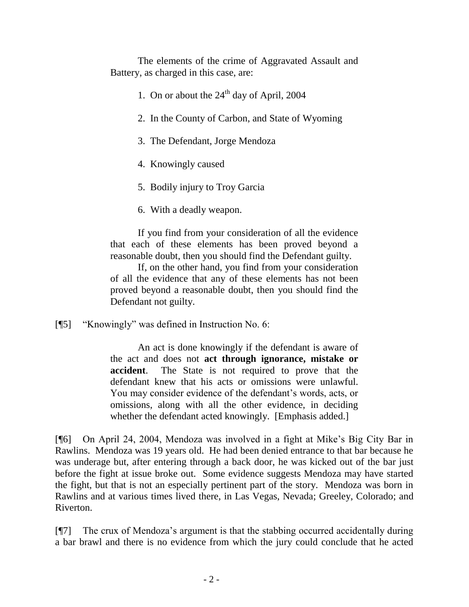The elements of the crime of Aggravated Assault and Battery, as charged in this case, are:

- 1. On or about the  $24<sup>th</sup>$  day of April, 2004
- 2. In the County of Carbon, and State of Wyoming
- 3. The Defendant, Jorge Mendoza
- 4. Knowingly caused
- 5. Bodily injury to Troy Garcia
- 6. With a deadly weapon.

If you find from your consideration of all the evidence that each of these elements has been proved beyond a reasonable doubt, then you should find the Defendant guilty.

If, on the other hand, you find from your consideration of all the evidence that any of these elements has not been proved beyond a reasonable doubt, then you should find the Defendant not guilty.

[¶5] "Knowingly" was defined in Instruction No. 6:

An act is done knowingly if the defendant is aware of the act and does not **act through ignorance, mistake or accident**. The State is not required to prove that the defendant knew that his acts or omissions were unlawful. You may consider evidence of the defendant's words, acts, or omissions, along with all the other evidence, in deciding whether the defendant acted knowingly. [Emphasis added.]

[¶6] On April 24, 2004, Mendoza was involved in a fight at Mike's Big City Bar in Rawlins. Mendoza was 19 years old. He had been denied entrance to that bar because he was underage but, after entering through a back door, he was kicked out of the bar just before the fight at issue broke out. Some evidence suggests Mendoza may have started the fight, but that is not an especially pertinent part of the story. Mendoza was born in Rawlins and at various times lived there, in Las Vegas, Nevada; Greeley, Colorado; and Riverton.

[¶7] The crux of Mendoza's argument is that the stabbing occurred accidentally during a bar brawl and there is no evidence from which the jury could conclude that he acted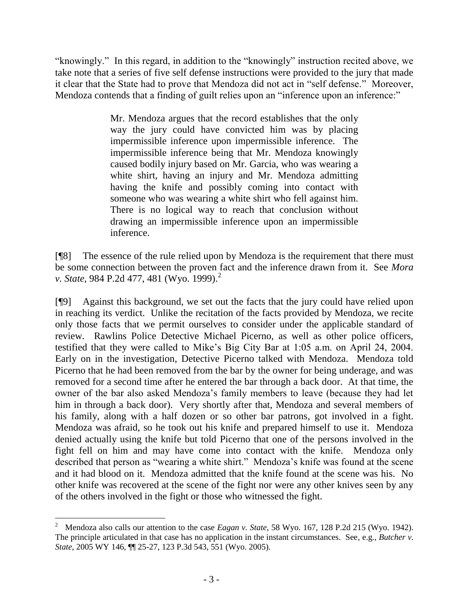"knowingly." In this regard, in addition to the "knowingly" instruction recited above, we take note that a series of five self defense instructions were provided to the jury that made it clear that the State had to prove that Mendoza did not act in "self defense." Moreover, Mendoza contends that a finding of guilt relies upon an "inference upon an inference:"

> Mr. Mendoza argues that the record establishes that the only way the jury could have convicted him was by placing impermissible inference upon impermissible inference. The impermissible inference being that Mr. Mendoza knowingly caused bodily injury based on Mr. Garcia, who was wearing a white shirt, having an injury and Mr. Mendoza admitting having the knife and possibly coming into contact with someone who was wearing a white shirt who fell against him. There is no logical way to reach that conclusion without drawing an impermissible inference upon an impermissible inference.

[¶8] The essence of the rule relied upon by Mendoza is the requirement that there must be some connection between the proven fact and the inference drawn from it. See *Mora v. State*, 984 P.2d 477, 481 (Wyo. 1999).<sup>2</sup>

[¶9] Against this background, we set out the facts that the jury could have relied upon in reaching its verdict. Unlike the recitation of the facts provided by Mendoza, we recite only those facts that we permit ourselves to consider under the applicable standard of review. Rawlins Police Detective Michael Picerno, as well as other police officers, testified that they were called to Mike's Big City Bar at 1:05 a.m. on April 24, 2004. Early on in the investigation, Detective Picerno talked with Mendoza. Mendoza told Picerno that he had been removed from the bar by the owner for being underage, and was removed for a second time after he entered the bar through a back door. At that time, the owner of the bar also asked Mendoza's family members to leave (because they had let him in through a back door). Very shortly after that, Mendoza and several members of his family, along with a half dozen or so other bar patrons, got involved in a fight. Mendoza was afraid, so he took out his knife and prepared himself to use it. Mendoza denied actually using the knife but told Picerno that one of the persons involved in the fight fell on him and may have come into contact with the knife. Mendoza only described that person as "wearing a white shirt." Mendoza's knife was found at the scene and it had blood on it. Mendoza admitted that the knife found at the scene was his. No other knife was recovered at the scene of the fight nor were any other knives seen by any of the others involved in the fight or those who witnessed the fight.

<sup>2</sup> Mendoza also calls our attention to the case *Eagan v. State*, 58 Wyo. 167, 128 P.2d 215 (Wyo. 1942). The principle articulated in that case has no application in the instant circumstances. See, e.g., *Butcher v. State*, 2005 WY 146, ¶¶ 25-27, 123 P.3d 543, 551 (Wyo. 2005).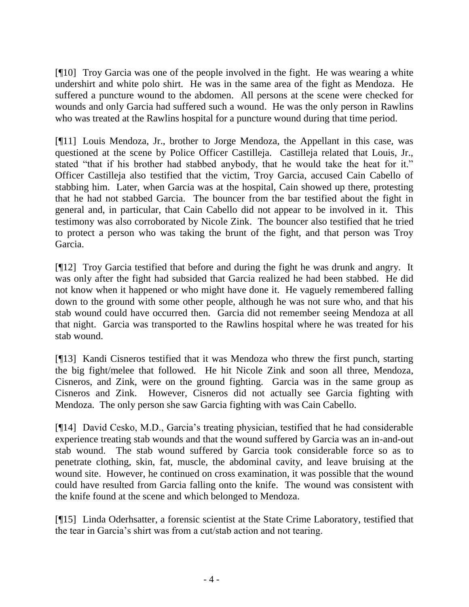[¶10] Troy Garcia was one of the people involved in the fight. He was wearing a white undershirt and white polo shirt. He was in the same area of the fight as Mendoza. He suffered a puncture wound to the abdomen. All persons at the scene were checked for wounds and only Garcia had suffered such a wound. He was the only person in Rawlins who was treated at the Rawlins hospital for a puncture wound during that time period.

[¶11] Louis Mendoza, Jr., brother to Jorge Mendoza, the Appellant in this case, was questioned at the scene by Police Officer Castilleja. Castilleja related that Louis, Jr., stated "that if his brother had stabbed anybody, that he would take the heat for it." Officer Castilleja also testified that the victim, Troy Garcia, accused Cain Cabello of stabbing him. Later, when Garcia was at the hospital, Cain showed up there, protesting that he had not stabbed Garcia. The bouncer from the bar testified about the fight in general and, in particular, that Cain Cabello did not appear to be involved in it. This testimony was also corroborated by Nicole Zink. The bouncer also testified that he tried to protect a person who was taking the brunt of the fight, and that person was Troy Garcia.

[¶12] Troy Garcia testified that before and during the fight he was drunk and angry. It was only after the fight had subsided that Garcia realized he had been stabbed. He did not know when it happened or who might have done it. He vaguely remembered falling down to the ground with some other people, although he was not sure who, and that his stab wound could have occurred then. Garcia did not remember seeing Mendoza at all that night. Garcia was transported to the Rawlins hospital where he was treated for his stab wound.

[¶13] Kandi Cisneros testified that it was Mendoza who threw the first punch, starting the big fight/melee that followed. He hit Nicole Zink and soon all three, Mendoza, Cisneros, and Zink, were on the ground fighting. Garcia was in the same group as Cisneros and Zink. However, Cisneros did not actually see Garcia fighting with Mendoza. The only person she saw Garcia fighting with was Cain Cabello.

[¶14] David Cesko, M.D., Garcia's treating physician, testified that he had considerable experience treating stab wounds and that the wound suffered by Garcia was an in-and-out stab wound. The stab wound suffered by Garcia took considerable force so as to penetrate clothing, skin, fat, muscle, the abdominal cavity, and leave bruising at the wound site. However, he continued on cross examination, it was possible that the wound could have resulted from Garcia falling onto the knife. The wound was consistent with the knife found at the scene and which belonged to Mendoza.

[¶15] Linda Oderhsatter, a forensic scientist at the State Crime Laboratory, testified that the tear in Garcia's shirt was from a cut/stab action and not tearing.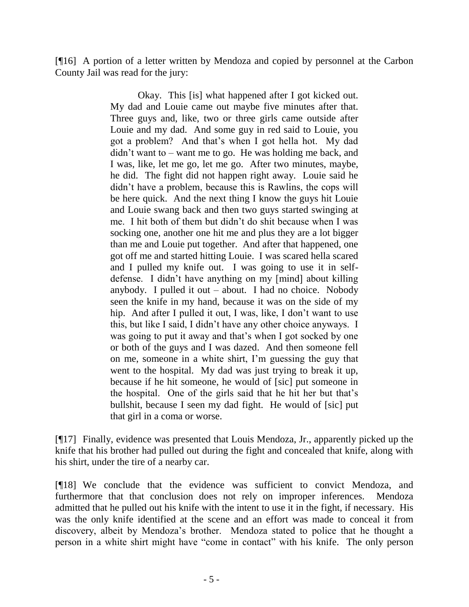[¶16] A portion of a letter written by Mendoza and copied by personnel at the Carbon County Jail was read for the jury:

> Okay. This [is] what happened after I got kicked out. My dad and Louie came out maybe five minutes after that. Three guys and, like, two or three girls came outside after Louie and my dad. And some guy in red said to Louie, you got a problem? And that's when I got hella hot. My dad didn't want to – want me to go. He was holding me back, and I was, like, let me go, let me go. After two minutes, maybe, he did. The fight did not happen right away. Louie said he didn't have a problem, because this is Rawlins, the cops will be here quick. And the next thing I know the guys hit Louie and Louie swang back and then two guys started swinging at me. I hit both of them but didn't do shit because when I was socking one, another one hit me and plus they are a lot bigger than me and Louie put together. And after that happened, one got off me and started hitting Louie. I was scared hella scared and I pulled my knife out. I was going to use it in selfdefense. I didn't have anything on my [mind] about killing anybody. I pulled it out  $-$  about. I had no choice. Nobody seen the knife in my hand, because it was on the side of my hip. And after I pulled it out, I was, like, I don't want to use this, but like I said, I didn't have any other choice anyways. I was going to put it away and that's when I got socked by one or both of the guys and I was dazed. And then someone fell on me, someone in a white shirt, I'm guessing the guy that went to the hospital. My dad was just trying to break it up, because if he hit someone, he would of [sic] put someone in the hospital. One of the girls said that he hit her but that's bullshit, because I seen my dad fight. He would of [sic] put that girl in a coma or worse.

[¶17] Finally, evidence was presented that Louis Mendoza, Jr., apparently picked up the knife that his brother had pulled out during the fight and concealed that knife, along with his shirt, under the tire of a nearby car.

[¶18] We conclude that the evidence was sufficient to convict Mendoza, and furthermore that that conclusion does not rely on improper inferences. Mendoza admitted that he pulled out his knife with the intent to use it in the fight, if necessary. His was the only knife identified at the scene and an effort was made to conceal it from discovery, albeit by Mendoza's brother. Mendoza stated to police that he thought a person in a white shirt might have "come in contact" with his knife. The only person